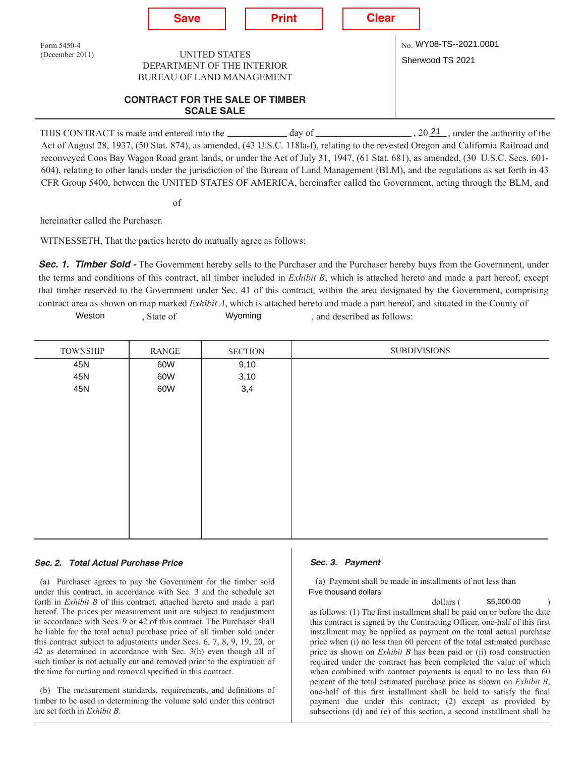

day of  $\frac{20 \times 21}{20}$ , under the authority of the Act of August 28, 1937, (50 Stat. 874), as amended, (43 U.S.C. 118la-f), relating to the revested Oregon and California Railroad and reconveyed Coos Bay Wagon Road grant lands, or under the Act of July 31, 1947, (61 Stat. 681), as amended, (30 U.S.C. Secs. 601- 604), relating to other lands under the jurisdiction of the Bureau of Land Management (BLM), and the regulations as set forth in 43 CFR Group 5400, between the UNITED STATES OF AMERICA, hereinafter called the Government, acting through the BLM, and THIS CONTRACT is made and entered into the

of

hereinafter called the Purchaser.

WITNESSETH, That the parties hereto do mutually agree as follows:

**Sec. 1. Timber Sold -** The Government hereby sells to the Purchaser and the Purchaser hereby buys from the Government, under the terms and conditions of this contract, all timber included in *Exhibit B*, which is attached hereto and made a part hereof, except that timber reserved to the Government under Sec. 41 of this contract, within the area designated by the Government, comprising contract area as shown on map marked *Exhibit A*, which is attached hereto and made a part hereof, and situated in the County of

Wyoming , and described as follows: Weston , State of

| <b>TOWNSHIP</b> | <b>RANGE</b> | <b>SECTION</b> | <b>SUBDIVISIONS</b> |
|-----------------|--------------|----------------|---------------------|
| 45N             | 60W          | 9,10           |                     |
| 45N             | 60W          | 3,10           |                     |
| 45N             | 60W          | 3,4            |                     |
|                 |              |                |                     |
|                 |              |                |                     |
|                 |              |                |                     |
|                 |              |                |                     |
|                 |              |                |                     |
|                 |              |                |                     |
|                 |              |                |                     |
|                 |              |                |                     |
|                 |              |                |                     |
|                 |              |                |                     |
|                 |              |                |                     |
|                 |              |                |                     |

#### *Sec. 2. Total Actual Purchase Price*

(a) Purchaser agrees to pay the Government for the timber sold under this contract, in accordance with Sec. 3 and the schedule set forth in *Exhibit B* of this contract, attached hereto and made a part hereof. The prices per measurement unit are subject to readjustment in accordance with Secs. 9 or 42 of this contract. The Purchaser shall be liable for the total actual purchase price of all timber sold under this contract subject to adjustments under Secs. 6, 7, 8, 9, 19, 20, or 42 as determined in accordance with Sec. 3(h) even though all of such timber is not actually cut and removed prior to the expiration of the time for cutting and removal specified in this contract.

(b) The measurement standards, requirements, and definitions of timber to be used in determining the volume sold under this contract are set forth in *Exhibit B*.

#### *Sec. 3. Payment*

(a) Payment shall be made in installments of not less than Five thousand dollars

dollars ( ) as follows: (1) The first installment shall be paid on or before the date this contract is signed by the Contracting Officer, one-half of this first installment may be applied as payment on the total actual purchase price when (i) no less than 60 percent of the total estimated purchase price as shown on *Exhibit B* has been paid or (ii) road construction required under the contract has been completed the value of which when combined with contract payments is equal to no less than 60 percent of the total estimated purchase price as shown on *Exhibit B*, one-half of this first installment shall be held to satisfy the final payment due under this contract; (2) except as provided by subsections (d) and (e) of this section, a second installment shall be \$5,000.00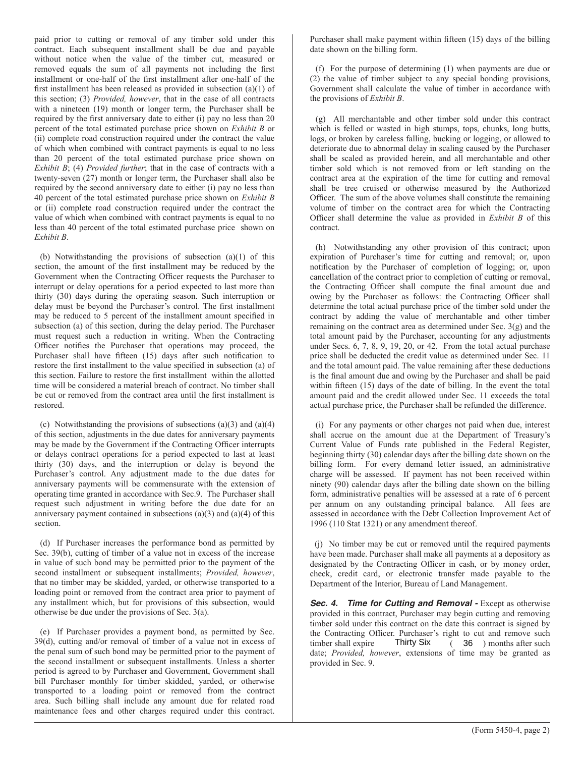paid prior to cutting or removal of any timber sold under this contract. Each subsequent installment shall be due and payable without notice when the value of the timber cut, measured or removed equals the sum of all payments not including the first installment or one-half of the first installment after one-half of the first installment has been released as provided in subsection (a)(1) of this section; (3) *Provided, however*, that in the case of all contracts with a nineteen (19) month or longer term, the Purchaser shall be required by the first anniversary date to either (i) pay no less than 20 percent of the total estimated purchase price shown on *Exhibit B* or (ii) complete road construction required under the contract the value of which when combined with contract payments is equal to no less than 20 percent of the total estimated purchase price shown on *Exhibit B*; (4) *Provided further*; that in the case of contracts with a twenty-seven (27) month or longer term, the Purchaser shall also be required by the second anniversary date to either (i) pay no less than 40 percent of the total estimated purchase price shown on *Exhibit B*  or (ii) complete road construction required under the contract the value of which when combined with contract payments is equal to no less than 40 percent of the total estimated purchase price shown on *Exhibit B*.

(b) Notwithstanding the provisions of subsection (a)(1) of this section, the amount of the first installment may be reduced by the Government when the Contracting Officer requests the Purchaser to interrupt or delay operations for a period expected to last more than thirty (30) days during the operating season. Such interruption or delay must be beyond the Purchaser's control. The first installment may be reduced to 5 percent of the installment amount specified in subsection (a) of this section, during the delay period. The Purchaser must request such a reduction in writing. When the Contracting Officer notifies the Purchaser that operations may proceed, the Purchaser shall have fifteen (15) days after such notification to restore the first installment to the value specified in subsection (a) of this section. Failure to restore the first installment within the allotted time will be considered a material breach of contract. No timber shall be cut or removed from the contract area until the first installment is restored.

(c) Notwithstanding the provisions of subsections (a)(3) and (a)(4) of this section, adjustments in the due dates for anniversary payments may be made by the Government if the Contracting Officer interrupts or delays contract operations for a period expected to last at least thirty (30) days, and the interruption or delay is beyond the Purchaser's control. Any adjustment made to the due dates for anniversary payments will be commensurate with the extension of operating time granted in accordance with Sec.9. The Purchaser shall request such adjustment in writing before the due date for an anniversary payment contained in subsections  $(a)(3)$  and  $(a)(4)$  of this section.

(d) If Purchaser increases the performance bond as permitted by Sec. 39(b), cutting of timber of a value not in excess of the increase in value of such bond may be permitted prior to the payment of the second installment or subsequent installments; *Provided, however*, that no timber may be skidded, yarded, or otherwise transported to a loading point or removed from the contract area prior to payment of any installment which, but for provisions of this subsection, would otherwise be due under the provisions of Sec. 3(a).

(e) If Purchaser provides a payment bond, as permitted by Sec. 39(d), cutting and/or removal of timber of a value not in excess of the penal sum of such bond may be permitted prior to the payment of the second installment or subsequent installments. Unless a shorter period is agreed to by Purchaser and Government, Government shall bill Purchaser monthly for timber skidded, yarded, or otherwise transported to a loading point or removed from the contract area. Such billing shall include any amount due for related road maintenance fees and other charges required under this contract.

Purchaser shall make payment within fifteen (15) days of the billing date shown on the billing form.

(f) For the purpose of determining (1) when payments are due or (2) the value of timber subject to any special bonding provisions, Government shall calculate the value of timber in accordance with the provisions of *Exhibit B*.

(g) All merchantable and other timber sold under this contract which is felled or wasted in high stumps, tops, chunks, long butts, logs, or broken by careless falling, bucking or logging, or allowed to deteriorate due to abnormal delay in scaling caused by the Purchaser shall be scaled as provided herein, and all merchantable and other timber sold which is not removed from or left standing on the contract area at the expiration of the time for cutting and removal shall be tree cruised or otherwise measured by the Authorized Officer. The sum of the above volumes shall constitute the remaining volume of timber on the contract area for which the Contracting Officer shall determine the value as provided in *Exhibit B* of this contract.

(h) Notwithstanding any other provision of this contract; upon expiration of Purchaser's time for cutting and removal; or, upon notification by the Purchaser of completion of logging; or, upon cancellation of the contract prior to completion of cutting or removal, the Contracting Officer shall compute the final amount due and owing by the Purchaser as follows: the Contracting Officer shall determine the total actual purchase price of the timber sold under the contract by adding the value of merchantable and other timber remaining on the contract area as determined under Sec. 3(g) and the total amount paid by the Purchaser, accounting for any adjustments under Secs. 6, 7, 8, 9, 19, 20, or 42. From the total actual purchase price shall be deducted the credit value as determined under Sec. 11 and the total amount paid. The value remaining after these deductions is the final amount due and owing by the Purchaser and shall be paid within fifteen (15) days of the date of billing. In the event the total amount paid and the credit allowed under Sec. 11 exceeds the total actual purchase price, the Purchaser shall be refunded the difference.

(i) For any payments or other charges not paid when due, interest shall accrue on the amount due at the Department of Treasury's Current Value of Funds rate published in the Federal Register, beginning thirty (30) calendar days after the billing date shown on the billing form. For every demand letter issued, an administrative charge will be assessed. If payment has not been received within ninety (90) calendar days after the billing date shown on the billing form, administrative penalties will be assessed at a rate of 6 percent per annum on any outstanding principal balance. All fees are assessed in accordance with the Debt Collection Improvement Act of 1996 (110 Stat 1321) or any amendment thereof.

(j) No timber may be cut or removed until the required payments have been made. Purchaser shall make all payments at a depository as designated by the Contracting Officer in cash, or by money order, check, credit card, or electronic transfer made payable to the Department of the Interior, Bureau of Land Management.

**Sec. 4. Time for Cutting and Removal -** Except as otherwise provided in this contract, Purchaser may begin cutting and removing timber sold under this contract on the date this contract is signed by the Contracting Officer. Purchaser's right to cut and remove such timber shall expire  $\frac{1}{2}$  Thirty Six (36) months after such date; *Provided, however*, extensions of time may be granted as provided in Sec. 9. Thirty Six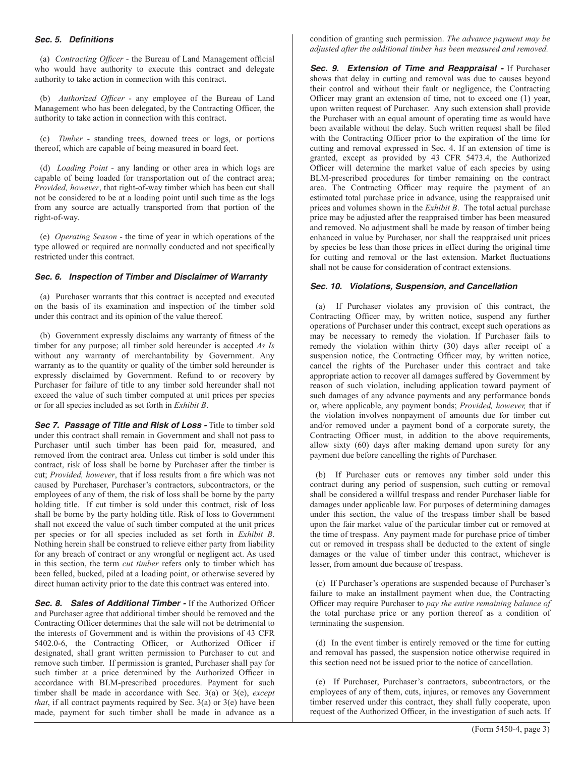### **Sec. 5. Definitions**

(a) *Contracting Officer* - the Bureau of Land Management official who would have authority to execute this contract and delegate authority to take action in connection with this contract.

(b) *Authorized Officer* - any employee of the Bureau of Land Management who has been delegated, by the Contracting Officer, the authority to take action in connection with this contract.

(c) *Timber* - standing trees, downed trees or logs, or portions thereof, which are capable of being measured in board feet.

(d) *Loading Point* - any landing or other area in which logs are capable of being loaded for transportation out of the contract area; *Provided, however*, that right-of-way timber which has been cut shall not be considered to be at a loading point until such time as the logs from any source are actually transported from that portion of the right-of-way.

(e) *Operating Season* - the time of year in which operations of the type allowed or required are normally conducted and not specifically restricted under this contract.

## *Sec. 6. Inspection of Timber and Disclaimer of Warranty*

(a) Purchaser warrants that this contract is accepted and executed on the basis of its examination and inspection of the timber sold under this contract and its opinion of the value thereof.

(b) Government expressly disclaims any warranty of fitness of the timber for any purpose; all timber sold hereunder is accepted *As Is*  without any warranty of merchantability by Government. Any warranty as to the quantity or quality of the timber sold hereunder is expressly disclaimed by Government. Refund to or recovery by Purchaser for failure of title to any timber sold hereunder shall not exceed the value of such timber computed at unit prices per species or for all species included as set forth in *Exhibit B*.

**Sec 7. Passage of Title and Risk of Loss -** Title to timber sold under this contract shall remain in Government and shall not pass to Purchaser until such timber has been paid for, measured, and removed from the contract area. Unless cut timber is sold under this contract, risk of loss shall be borne by Purchaser after the timber is cut; *Provided, however*, that if loss results from a fire which was not caused by Purchaser, Purchaser's contractors, subcontractors, or the employees of any of them, the risk of loss shall be borne by the party holding title. If cut timber is sold under this contract, risk of loss shall be borne by the party holding title. Risk of loss to Government shall not exceed the value of such timber computed at the unit prices per species or for all species included as set forth in *Exhibit B*. Nothing herein shall be construed to relieve either party from liability for any breach of contract or any wrongful or negligent act. As used in this section, the term *cut timber* refers only to timber which has been felled, bucked, piled at a loading point, or otherwise severed by direct human activity prior to the date this contract was entered into.

*Sec. 8. Sales of Additional Timber -* If the Authorized Officer and Purchaser agree that additional timber should be removed and the Contracting Officer determines that the sale will not be detrimental to the interests of Government and is within the provisions of 43 CFR 5402.0-6, the Contracting Officer, or Authorized Officer if designated, shall grant written permission to Purchaser to cut and remove such timber. If permission is granted, Purchaser shall pay for such timber at a price determined by the Authorized Officer in accordance with BLM-prescribed procedures. Payment for such timber shall be made in accordance with Sec. 3(a) or 3(e), *except that*, if all contract payments required by Sec. 3(a) or 3(e) have been made, payment for such timber shall be made in advance as a condition of granting such permission. *The advance payment may be adjusted after the additional timber has been measured and removed.* 

*Sec. 9. Extension of Time and Reappraisal -* If Purchaser shows that delay in cutting and removal was due to causes beyond their control and without their fault or negligence, the Contracting Officer may grant an extension of time, not to exceed one (1) year, upon written request of Purchaser. Any such extension shall provide the Purchaser with an equal amount of operating time as would have been available without the delay. Such written request shall be filed with the Contracting Officer prior to the expiration of the time for cutting and removal expressed in Sec. 4. If an extension of time is granted, except as provided by 43 CFR 5473.4, the Authorized Officer will determine the market value of each species by using BLM-prescribed procedures for timber remaining on the contract area. The Contracting Officer may require the payment of an estimated total purchase price in advance, using the reappraised unit prices and volumes shown in the *Exhibit B*. The total actual purchase price may be adjusted after the reappraised timber has been measured and removed. No adjustment shall be made by reason of timber being enhanced in value by Purchaser, nor shall the reappraised unit prices by species be less than those prices in effect during the original time for cutting and removal or the last extension. Market fluctuations shall not be cause for consideration of contract extensions.

## *Sec. 10. Violations, Suspension, and Cancellation*

(a) If Purchaser violates any provision of this contract, the Contracting Officer may, by written notice, suspend any further operations of Purchaser under this contract, except such operations as may be necessary to remedy the violation. If Purchaser fails to remedy the violation within thirty (30) days after receipt of a suspension notice, the Contracting Officer may, by written notice, cancel the rights of the Purchaser under this contract and take appropriate action to recover all damages suffered by Government by reason of such violation, including application toward payment of such damages of any advance payments and any performance bonds or, where applicable, any payment bonds; *Provided, however,* that if the violation involves nonpayment of amounts due for timber cut and/or removed under a payment bond of a corporate surety, the Contracting Officer must, in addition to the above requirements, allow sixty (60) days after making demand upon surety for any payment due before cancelling the rights of Purchaser.

(b) If Purchaser cuts or removes any timber sold under this contract during any period of suspension, such cutting or removal shall be considered a willful trespass and render Purchaser liable for damages under applicable law. For purposes of determining damages under this section, the value of the trespass timber shall be based upon the fair market value of the particular timber cut or removed at the time of trespass. Any payment made for purchase price of timber cut or removed in trespass shall be deducted to the extent of single damages or the value of timber under this contract, whichever is lesser, from amount due because of trespass.

(c) If Purchaser's operations are suspended because of Purchaser's failure to make an installment payment when due, the Contracting Officer may require Purchaser to *pay the entire remaining balance of*  the total purchase price or any portion thereof as a condition of terminating the suspension.

(d) In the event timber is entirely removed or the time for cutting and removal has passed, the suspension notice otherwise required in this section need not be issued prior to the notice of cancellation.

(e) If Purchaser, Purchaser's contractors, subcontractors, or the employees of any of them, cuts, injures, or removes any Government timber reserved under this contract, they shall fully cooperate, upon request of the Authorized Officer, in the investigation of such acts. If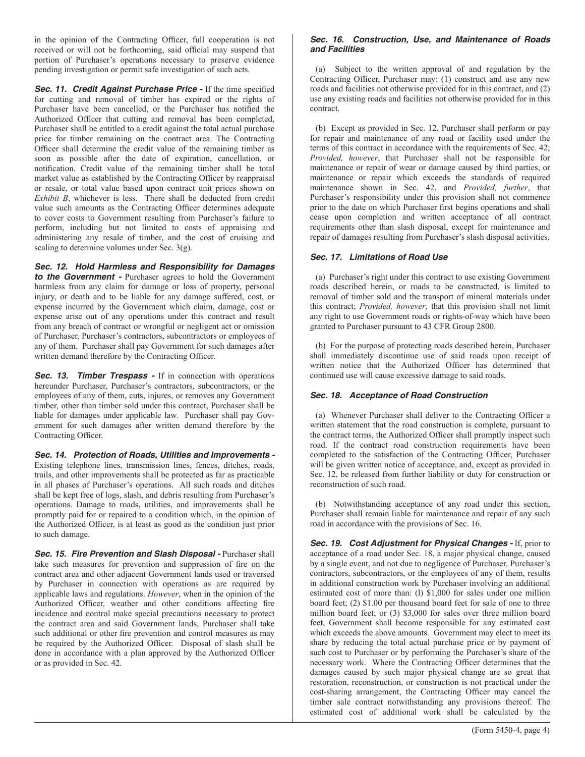in the opinion of the Contracting Officer, full cooperation is not received or will not be forthcoming, said official may suspend that portion of Purchaser's operations necessary to preserve evidence pending investigation or permit safe investigation of such acts.

**Sec. 11. Credit Against Purchase Price -** If the time specified for cutting and removal of timber has expired or the rights of Purchaser have been cancelled, or the Purchaser has notified the Authorized Officer that cutting and removal has been completed, Purchaser shall be entitled to a credit against the total actual purchase price for timber remaining on the contract area. The Contracting Officer shall determine the credit value of the remaining timber as soon as possible after the date of expiration, cancellation, or notification. Credit value of the remaining timber shall be total market value as established by the Contracting Officer by reappraisal or resale, or total value based upon contract unit prices shown on *Exhibit B*, whichever is less. There shall be deducted from credit value such amounts as the Contracting Officer determines adequate to cover costs to Government resulting from Purchaser's failure to perform, including but not limited to costs of appraising and administering any resale of timber, and the cost of cruising and scaling to determine volumes under Sec. 3(g).

*Sec. 12. Hold Harmless and Responsibility for Damages to the Government -* Purchaser agrees to hold the Government harmless from any claim for damage or loss of property, personal injury, or death and to be liable for any damage suffered, cost, or expense incurred by the Government which claim, damage, cost or expense arise out of any operations under this contract and result from any breach of contract or wrongful or negligent act or omission of Purchaser, Purchaser's contractors, subcontractors or employees of any of them. Purchaser shall pay Government for such damages after

written demand therefore by the Contracting Officer. **Sec. 13. Timber Trespass -** If in connection with operations

hereunder Purchaser, Purchaser's contractors, subcontractors, or the employees of any of them, cuts, injures, or removes any Government timber, other than timber sold under this contract, Purchaser shall be liable for damages under applicable law. Purchaser shall pay Government for such damages after written demand therefore by the Contracting Officer.

*Sec. 14. Protection of Roads, Utilities and Improvements -* Existing telephone lines, transmission lines, fences, ditches, roads, trails, and other improvements shall be protected as far as practicable in all phases of Purchaser's operations. All such roads and ditches shall be kept free of logs, slash, and debris resulting from Purchaser's operations. Damage to roads, utilities, and improvements shall be promptly paid for or repaired to a condition which, in the opinion of the Authorized Officer, is at least as good as the condition just prior to such damage.

*Sec. 15. Fire Prevention and Slash Disposal -* Purchaser shall take such measures for prevention and suppression of fire on the contract area and other adjacent Government lands used or traversed by Purchaser in connection with operations as are required by applicable laws and regulations. *However*, when in the opinion of the Authorized Officer, weather and other conditions affecting fire incidence and control make special precautions necessary to protect the contract area and said Government lands, Purchaser shall take such additional or other fire prevention and control measures as may be required by the Authorized Officer. Disposal of slash shall be done in accordance with a plan approved by the Authorized Officer or as provided in Sec. 42.

### *Sec. 16. Construction, Use, and Maintenance of Roads and Facilities*

(a) Subject to the written approval of and regulation by the Contracting Officer, Purchaser may: (1) construct and use any new roads and facilities not otherwise provided for in this contract, and (2) use any existing roads and facilities not otherwise provided for in this contract.

(b) Except as provided in Sec. 12, Purchaser shall perform or pay for repair and maintenance of any road or facility used under the terms of this contract in accordance with the requirements of Sec. 42; *Provided, however*, that Purchaser shall not be responsible for maintenance or repair of wear or damage caused by third parties, or maintenance or repair which exceeds the standards of required maintenance shown in Sec. 42, and *Provided, further*, that Purchaser's responsibility under this provision shall not commence prior to the date on which Purchaser first begins operations and shall cease upon completion and written acceptance of all contract requirements other than slash disposal, except for maintenance and repair of damages resulting from Purchaser's slash disposal activities.

# *Sec. 17. Limitations of Road Use*

(a) Purchaser's right under this contract to use existing Government roads described herein, or roads to be constructed, is limited to removal of timber sold and the transport of mineral materials under this contract; *Provided, however*, that this provision shall not limit any right to use Government roads or rights-of-way which have been granted to Purchaser pursuant to 43 CFR Group 2800.

(b) For the purpose of protecting roads described herein, Purchaser shall immediately discontinue use of said roads upon receipt of written notice that the Authorized Officer has determined that continued use will cause excessive damage to said roads.

# *Sec. 18. Acceptance of Road Construction*

(a) Whenever Purchaser shall deliver to the Contracting Officer a written statement that the road construction is complete, pursuant to the contract terms, the Authorized Officer shall promptly inspect such road. If the contract road construction requirements have been completed to the satisfaction of the Contracting Officer, Purchaser will be given written notice of acceptance, and, except as provided in Sec. 12, be released from further liability or duty for construction or reconstruction of such road.

(b) Notwithstanding acceptance of any road under this section, Purchaser shall remain liable for maintenance and repair of any such road in accordance with the provisions of Sec. 16.

*Sec. 19. Cost Adjustment for Physical Changes -* If, prior to acceptance of a road under Sec. 18, a major physical change, caused by a single event, and not due to negligence of Purchaser, Purchaser's contractors, subcontractors, or the employees of any of them, results in additional construction work by Purchaser involving an additional estimated cost of more than: (l) \$1,000 for sales under one million board feet; (2) \$1.00 per thousand board feet for sale of one to three million board feet; or (3) \$3,000 for sales over three million board feet, Government shall become responsible for any estimated cost which exceeds the above amounts. Government may elect to meet its share by reducing the total actual purchase price or by payment of such cost to Purchaser or by performing the Purchaser's share of the necessary work. Where the Contracting Officer determines that the damages caused by such major physical change are so great that restoration, reconstruction, or construction is not practical under the cost-sharing arrangement, the Contracting Officer may cancel the timber sale contract notwithstanding any provisions thereof. The estimated cost of additional work shall be calculated by the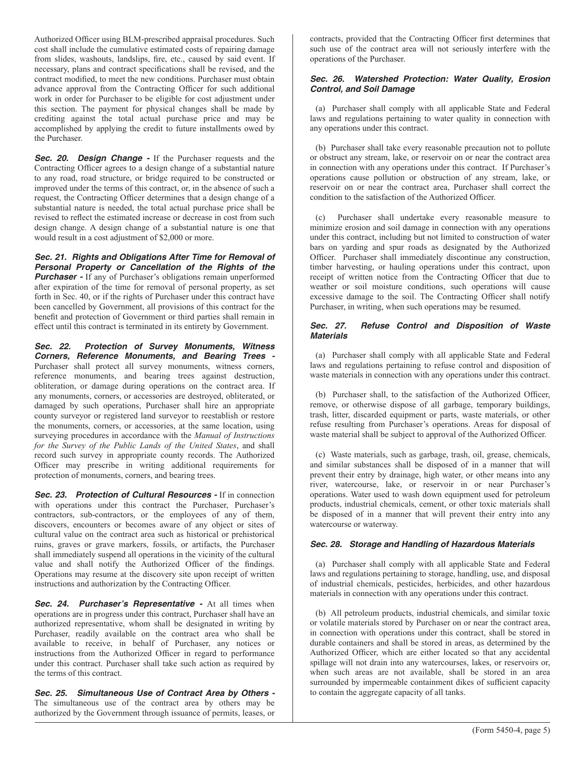Authorized Officer using BLM-prescribed appraisal procedures. Such cost shall include the cumulative estimated costs of repairing damage from slides, washouts, landslips, fire, etc., caused by said event. If necessary, plans and contract specifications shall be revised, and the contract modified, to meet the new conditions. Purchaser must obtain advance approval from the Contracting Officer for such additional work in order for Purchaser to be eligible for cost adjustment under this section. The payment for physical changes shall be made by crediting against the total actual purchase price and may be accomplished by applying the credit to future installments owed by the Purchaser.

**Sec. 20. Design Change -** If the Purchaser requests and the Contracting Officer agrees to a design change of a substantial nature to any road, road structure, or bridge required to be constructed or improved under the terms of this contract, or, in the absence of such a request, the Contracting Officer determines that a design change of a substantial nature is needed, the total actual purchase price shall be revised to reflect the estimated increase or decrease in cost from such design change. A design change of a substantial nature is one that would result in a cost adjustment of \$2,000 or more.

*Sec. 21. Rights and Obligations After Time for Removal of Personal Property or Cancellation of the Rights of the Purchaser* - If any of Purchaser's obligations remain unperformed after expiration of the time for removal of personal property, as set forth in Sec. 40, or if the rights of Purchaser under this contract have been cancelled by Government, all provisions of this contract for the benefit and protection of Government or third parties shall remain in effect until this contract is terminated in its entirety by Government.

*Sec. 22. Protection of Survey Monuments, Witness Corners, Reference Monuments, and Bearing Trees -* Purchaser shall protect all survey monuments, witness corners, reference monuments, and bearing trees against destruction, obliteration, or damage during operations on the contract area. If any monuments, corners, or accessories are destroyed, obliterated, or damaged by such operations, Purchaser shall hire an appropriate county surveyor or registered land surveyor to reestablish or restore the monuments, corners, or accessories, at the same location, using surveying procedures in accordance with the *Manual of Instructions for the Survey of the Public Lands of the United States*, and shall record such survey in appropriate county records. The Authorized Officer may prescribe in writing additional requirements for protection of monuments, corners, and bearing trees.

*Sec. 23. Protection of Cultural Resources -* If in connection with operations under this contract the Purchaser, Purchaser's contractors, sub-contractors, or the employees of any of them, discovers, encounters or becomes aware of any object or sites of cultural value on the contract area such as historical or prehistorical ruins, graves or grave markers, fossils, or artifacts, the Purchaser shall immediately suspend all operations in the vicinity of the cultural value and shall notify the Authorized Officer of the findings. Operations may resume at the discovery site upon receipt of written instructions and authorization by the Contracting Officer.

*Sec. 24. Purchaser's Representative -* At all times when operations are in progress under this contract, Purchaser shall have an authorized representative, whom shall be designated in writing by Purchaser, readily available on the contract area who shall be available to receive, in behalf of Purchaser, any notices or instructions from the Authorized Officer in regard to performance under this contract. Purchaser shall take such action as required by the terms of this contract.

*Sec. 25. Simultaneous Use of Contract Area by Others -* The simultaneous use of the contract area by others may be authorized by the Government through issuance of permits, leases, or contracts, provided that the Contracting Officer first determines that such use of the contract area will not seriously interfere with the operations of the Purchaser.

### *Sec. 26. Watershed Protection: Water Quality, Erosion Control, and Soil Damage*

(a) Purchaser shall comply with all applicable State and Federal laws and regulations pertaining to water quality in connection with any operations under this contract.

(b) Purchaser shall take every reasonable precaution not to pollute or obstruct any stream, lake, or reservoir on or near the contract area in connection with any operations under this contract. If Purchaser's operations cause pollution or obstruction of any stream, lake, or reservoir on or near the contract area, Purchaser shall correct the condition to the satisfaction of the Authorized Officer.

(c) Purchaser shall undertake every reasonable measure to minimize erosion and soil damage in connection with any operations under this contract, including but not limited to construction of water bars on yarding and spur roads as designated by the Authorized Officer. Purchaser shall immediately discontinue any construction, timber harvesting, or hauling operations under this contract, upon receipt of written notice from the Contracting Officer that due to weather or soil moisture conditions, such operations will cause excessive damage to the soil. The Contracting Officer shall notify Purchaser, in writing, when such operations may be resumed.

#### *Sec. 27. Refuse Control and Disposition of Waste Materials*

(a) Purchaser shall comply with all applicable State and Federal laws and regulations pertaining to refuse control and disposition of waste materials in connection with any operations under this contract.

(b) Purchaser shall, to the satisfaction of the Authorized Officer, remove, or otherwise dispose of all garbage, temporary buildings, trash, litter, discarded equipment or parts, waste materials, or other refuse resulting from Purchaser's operations. Areas for disposal of waste material shall be subject to approval of the Authorized Officer.

(c) Waste materials, such as garbage, trash, oil, grease, chemicals, and similar substances shall be disposed of in a manner that will prevent their entry by drainage, high water, or other means into any river, watercourse, lake, or reservoir in or near Purchaser's operations. Water used to wash down equipment used for petroleum products, industrial chemicals, cement, or other toxic materials shall be disposed of in a manner that will prevent their entry into any watercourse or waterway.

# *Sec. 28. Storage and Handling of Hazardous Materials*

(a) Purchaser shall comply with all applicable State and Federal laws and regulations pertaining to storage, handling, use, and disposal of industrial chemicals, pesticides, herbicides, and other hazardous materials in connection with any operations under this contract.

(b) All petroleum products, industrial chemicals, and similar toxic or volatile materials stored by Purchaser on or near the contract area, in connection with operations under this contract, shall be stored in durable containers and shall be stored in areas, as determined by the Authorized Officer, which are either located so that any accidental spillage will not drain into any watercourses, lakes, or reservoirs or, when such areas are not available, shall be stored in an area surrounded by impermeable containment dikes of sufficient capacity to contain the aggregate capacity of all tanks.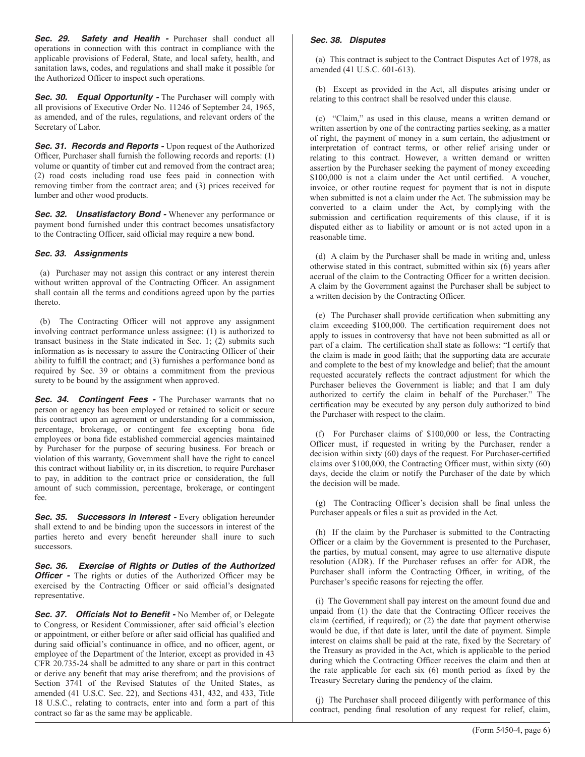**Sec. 29. Safety and Health -** Purchaser shall conduct all operations in connection with this contract in compliance with the applicable provisions of Federal, State, and local safety, health, and sanitation laws, codes, and regulations and shall make it possible for the Authorized Officer to inspect such operations.

**Sec. 30. Equal Opportunity -** The Purchaser will comply with all provisions of Executive Order No. 11246 of September 24, 1965, as amended, and of the rules, regulations, and relevant orders of the Secretary of Labor.

**Sec. 31. Records and Reports - Upon request of the Authorized** Officer, Purchaser shall furnish the following records and reports: (1) volume or quantity of timber cut and removed from the contract area; (2) road costs including road use fees paid in connection with removing timber from the contract area; and (3) prices received for lumber and other wood products.

**Sec. 32. Unsatisfactory Bond -** Whenever any performance or payment bond furnished under this contract becomes unsatisfactory to the Contracting Officer, said official may require a new bond.

#### *Sec. 33. Assignments*

(a) Purchaser may not assign this contract or any interest therein without written approval of the Contracting Officer. An assignment shall contain all the terms and conditions agreed upon by the parties thereto.

(b) The Contracting Officer will not approve any assignment involving contract performance unless assignee: (1) is authorized to transact business in the State indicated in Sec. 1; (2) submits such information as is necessary to assure the Contracting Officer of their ability to fulfill the contract; and (3) furnishes a performance bond as required by Sec. 39 or obtains a commitment from the previous surety to be bound by the assignment when approved.

**Sec. 34. Contingent Fees -** The Purchaser warrants that no person or agency has been employed or retained to solicit or secure this contract upon an agreement or understanding for a commission, percentage, brokerage, or contingent fee excepting bona fide employees or bona fide established commercial agencies maintained by Purchaser for the purpose of securing business. For breach or violation of this warranty, Government shall have the right to cancel this contract without liability or, in its discretion, to require Purchaser to pay, in addition to the contract price or consideration, the full amount of such commission, percentage, brokerage, or contingent fee.

**Sec. 35. Successors in Interest - Every obligation hereunder** shall extend to and be binding upon the successors in interest of the parties hereto and every benefit hereunder shall inure to such successors.

*Sec. 36. Exercise of Rights or Duties of the Authorized Officer* - The rights or duties of the Authorized Officer may be exercised by the Contracting Officer or said official's designated representative.

**Sec. 37. Officials Not to Benefit -** No Member of, or Delegate to Congress, or Resident Commissioner, after said official's election or appointment, or either before or after said official has qualified and during said official's continuance in office, and no officer, agent, or employee of the Department of the Interior, except as provided in 43 CFR 20.735-24 shall be admitted to any share or part in this contract or derive any benefit that may arise therefrom; and the provisions of Section 3741 of the Revised Statutes of the United States, as amended (41 U.S.C. Sec. 22), and Sections 431, 432, and 433, Title 18 U.S.C., relating to contracts, enter into and form a part of this contract so far as the same may be applicable.

### *Sec. 38. Disputes*

(a) This contract is subject to the Contract Disputes Act of 1978, as amended (41 U.S.C. 601-613).

(b) Except as provided in the Act, all disputes arising under or relating to this contract shall be resolved under this clause.

(c) "Claim," as used in this clause, means a written demand or written assertion by one of the contracting parties seeking, as a matter of right, the payment of money in a sum certain, the adjustment or interpretation of contract terms, or other relief arising under or relating to this contract. However, a written demand or written assertion by the Purchaser seeking the payment of money exceeding \$100,000 is not a claim under the Act until certified. A voucher, invoice, or other routine request for payment that is not in dispute when submitted is not a claim under the Act. The submission may be converted to a claim under the Act, by complying with the submission and certification requirements of this clause, if it is disputed either as to liability or amount or is not acted upon in a reasonable time.

(d) A claim by the Purchaser shall be made in writing and, unless otherwise stated in this contract, submitted within six (6) years after accrual of the claim to the Contracting Officer for a written decision. A claim by the Government against the Purchaser shall be subject to a written decision by the Contracting Officer.

(e) The Purchaser shall provide certification when submitting any claim exceeding \$100,000. The certification requirement does not apply to issues in controversy that have not been submitted as all or part of a claim. The certification shall state as follows: "I certify that the claim is made in good faith; that the supporting data are accurate and complete to the best of my knowledge and belief; that the amount requested accurately reflects the contract adjustment for which the Purchaser believes the Government is liable; and that I am duly authorized to certify the claim in behalf of the Purchaser." The certification may be executed by any person duly authorized to bind the Purchaser with respect to the claim.

(f) For Purchaser claims of \$100,000 or less, the Contracting Officer must, if requested in writing by the Purchaser, render a decision within sixty (60) days of the request. For Purchaser-certified claims over \$100,000, the Contracting Officer must, within sixty (60) days, decide the claim or notify the Purchaser of the date by which the decision will be made.

(g) The Contracting Officer's decision shall be final unless the Purchaser appeals or files a suit as provided in the Act.

(h) If the claim by the Purchaser is submitted to the Contracting Officer or a claim by the Government is presented to the Purchaser, the parties, by mutual consent, may agree to use alternative dispute resolution (ADR). If the Purchaser refuses an offer for ADR, the Purchaser shall inform the Contracting Officer, in writing, of the Purchaser's specific reasons for rejecting the offer.

(i) The Government shall pay interest on the amount found due and unpaid from (1) the date that the Contracting Officer receives the claim (certified, if required); or (2) the date that payment otherwise would be due, if that date is later, until the date of payment. Simple interest on claims shall be paid at the rate, fixed by the Secretary of the Treasury as provided in the Act, which is applicable to the period during which the Contracting Officer receives the claim and then at the rate applicable for each six (6) month period as fixed by the Treasury Secretary during the pendency of the claim.

(j) The Purchaser shall proceed diligently with performance of this contract, pending final resolution of any request for relief, claim,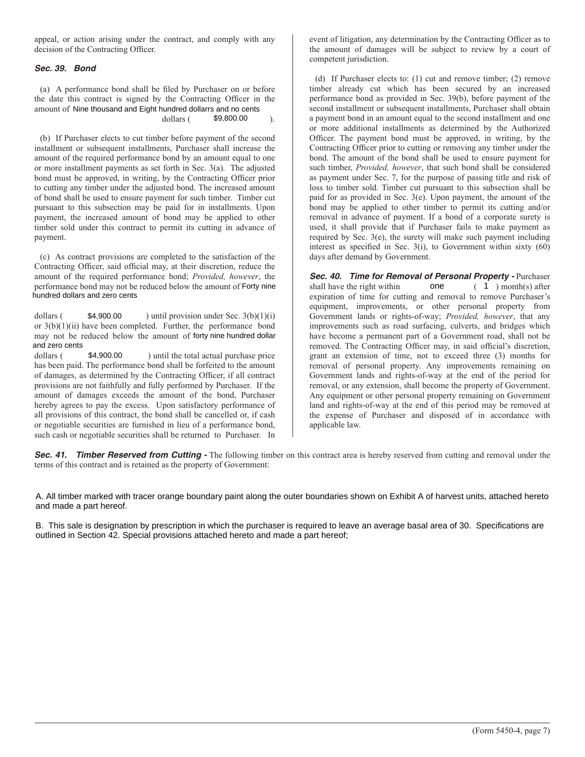appeal, or action arising under the contract, and comply with any decision of the Contracting Officer.

### *Sec. 39. Bond*

(a) A performance bond shall be filed by Purchaser on or before the date this contract is signed by the Contracting Officer in the amount of Nine thousand and Eight hundred dollarrs and no cents

#### dollars (  $$9,800.00$  ).

(b) If Purchaser elects to cut timber before payment of the second installment or subsequent installments, Purchaser shall increase the amount of the required performance bond by an amount equal to one or more installment payments as set forth in Sec. 3(a). The adjusted bond must be approved, in writing, by the Contracting Officer prior to cutting any timber under the adjusted bond. The increased amount of bond shall be used to ensure payment for such timber. Timber cut pursuant to this subsection may be paid for in installments. Upon payment, the increased amount of bond may be applied to other timber sold under this contract to permit its cutting in advance of payment. \$9,800.00 ).<br>
ent of the second<br>
shall increase the<br>
count equal to one<br>
(a). The adjusted<br>
ting Officer prior<br>
increased amount<br>
mber. Timber cut<br>
stallments. Upon<br>
applied to other<br>
ng in advance of<br>
satisfaction of the<br>

(c) As contract provisions are completed to the satisfaction of the Contracting Officer, said official may, at their discretion, reduce the amount of the required performance bond; *Provided, however*, the performance bond may not be reduced below the amount of Forty nine hundred dollars and zero cents

dollars ( $$4,900.00$ ) until provision under Sec.  $3(b)(1)(i)$ or 3(b)(1)(ii) have been completed. Further, the performance bond may not be reduced below the amount of forty nine hundred dollar \$4,900.00 and zero cents

dollars (\$4,900.00 ) until the total actual purchase price has been paid. The performance bond shall be forfeited to the amount of damages, as determined by the Contracting Officer, if all contract provisions are not faithfully and fully performed by Purchaser. If the amount of damages exceeds the amount of the bond, Purchaser hereby agrees to pay the excess. Upon satisfactory performance of all provisions of this contract, the bond shall be cancelled or, if cash or negotiable securities are furnished in lieu of a performance bond, such cash or negotiable securities shall be returned to Purchaser. In

event of litigation, any determination by the Contracting Officer as to the amount of damages will be subject to review by a court of competent jurisdiction.

(d) If Purchaser elects to: (1) cut and remove timber; (2) remove timber already cut which has been secured by an increased performance bond as provided in Sec. 39(b), before payment of the second installment or subsequent installments, Purchaser shall obtain a payment bond in an amount equal to the second installment and one or more additional installments as determined by the Authorized Officer. The payment bond must be approved, in writing, by the Contracting Officer prior to cutting or removing any timber under the bond. The amount of the bond shall be used to ensure payment for such timber, *Provided, however*, that such bond shall be considered as payment under Sec. 7, for the purpose of passing title and risk of loss to timber sold. Timber cut pursuant to this subsection shall be paid for as provided in Sec. 3(e). Upon payment, the amount of the bond may be applied to other timber to permit its cutting and/or removal in advance of payment. If a bond of a corporate surety is used, it shall provide that if Purchaser fails to make payment as required by Sec. 3(e), the surety will make such payment including interest as specified in Sec. 3(i), to Government within sixty (60) days after demand by Government.

**Sec. 40. Time for Removal of Personal Property -** Purchaser shall have the right within one (1) month(s) after shall have the right within expiration of time for cutting and removal to remove Purchaser's equipment, improvements, or other personal property from Government lands or rights-of-way; *Provided, however*, that any improvements such as road surfacing, culverts, and bridges which have become a permanent part of a Government road, shall not be removed. The Contracting Officer may, in said official's discretion, grant an extension of time, not to exceed three (3) months for removal of personal property. Any improvements remaining on Government lands and rights-of-way at the end of the period for removal, or any extension, shall become the property of Government. Any equipment or other personal property remaining on Government land and rights-of-way at the end of this period may be removed at the expense of Purchaser and disposed of in accordance with applicable law. nd may not be reduced below the amount of Forty nine<br>
and zero cents<br>
\$4,900.00 ) until provision under Sec. 3(b)(1)(i)<br>
we been completed. Further, the performance bond<br>
duced below the amount of forty nine hundred dollar

**Sec. 41. Timber Reserved from Cutting -** The following timber on this contract area is hereby reserved from cutting and removal under the terms of this contract and is retained as the property of Government:

A. All timber marked with tracer orange boundary paint along the outer boundaries shown on Exhibit A of harvest units, attached hereto and made a part hereof.

B. This sale is designation by prescription in which the purchaser is required to leave an average basal area of 30. Specifications are outlined in Section 42. Special provisions attached hereto and made a part hereof;